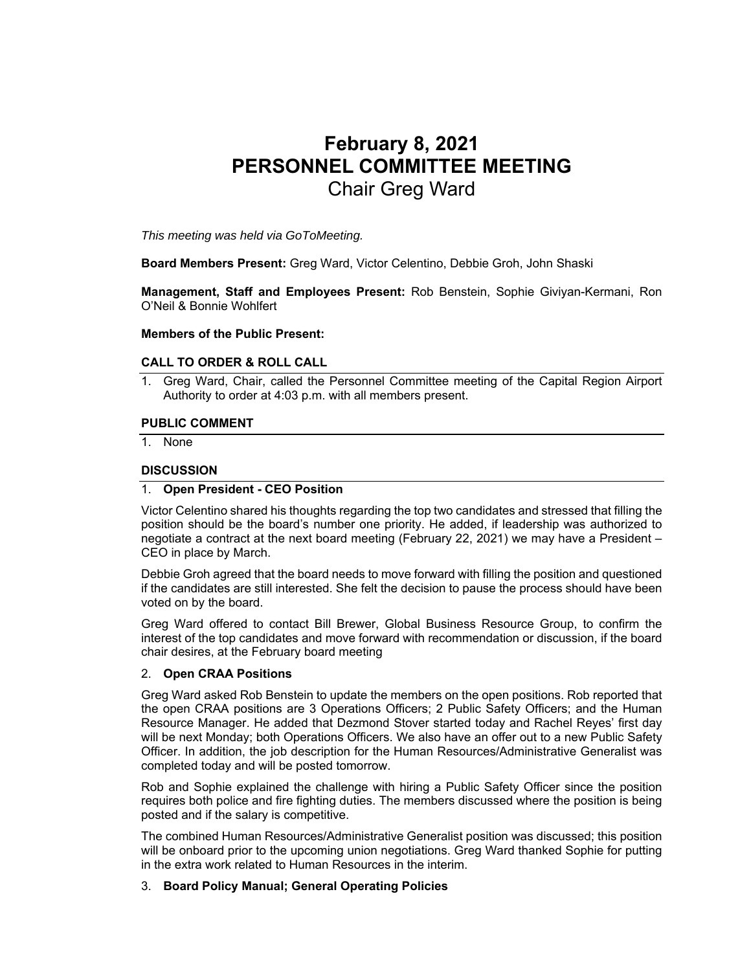# **February 8, 2021 PERSONNEL COMMITTEE MEETING**  Chair Greg Ward

*This meeting was held via GoToMeeting.* 

**Board Members Present:** Greg Ward, Victor Celentino, Debbie Groh, John Shaski

**Management, Staff and Employees Present:** Rob Benstein, Sophie Giviyan-Kermani, Ron O'Neil & Bonnie Wohlfert

#### **Members of the Public Present:**

#### **CALL TO ORDER & ROLL CALL**

1. Greg Ward, Chair, called the Personnel Committee meeting of the Capital Region Airport Authority to order at 4:03 p.m. with all members present.

#### **PUBLIC COMMENT**

1. None

#### **DISCUSSION**

## 1. **Open President - CEO Position**

Victor Celentino shared his thoughts regarding the top two candidates and stressed that filling the position should be the board's number one priority. He added, if leadership was authorized to negotiate a contract at the next board meeting (February 22, 2021) we may have a President – CEO in place by March.

Debbie Groh agreed that the board needs to move forward with filling the position and questioned if the candidates are still interested. She felt the decision to pause the process should have been voted on by the board.

Greg Ward offered to contact Bill Brewer, Global Business Resource Group, to confirm the interest of the top candidates and move forward with recommendation or discussion, if the board chair desires, at the February board meeting

## 2. **Open CRAA Positions**

Greg Ward asked Rob Benstein to update the members on the open positions. Rob reported that the open CRAA positions are 3 Operations Officers; 2 Public Safety Officers; and the Human Resource Manager. He added that Dezmond Stover started today and Rachel Reyes' first day will be next Monday; both Operations Officers. We also have an offer out to a new Public Safety Officer. In addition, the job description for the Human Resources/Administrative Generalist was completed today and will be posted tomorrow.

Rob and Sophie explained the challenge with hiring a Public Safety Officer since the position requires both police and fire fighting duties. The members discussed where the position is being posted and if the salary is competitive.

The combined Human Resources/Administrative Generalist position was discussed; this position will be onboard prior to the upcoming union negotiations. Greg Ward thanked Sophie for putting in the extra work related to Human Resources in the interim.

## 3. **Board Policy Manual; General Operating Policies**